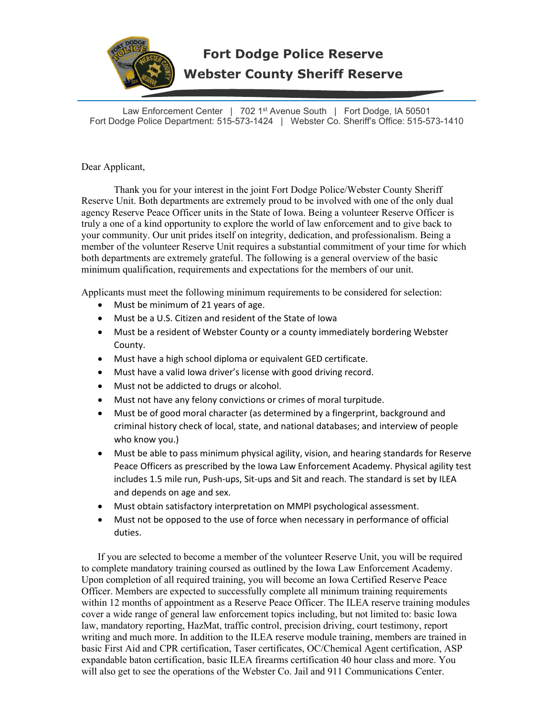

## **Fort Dodge Police Reserve Webster County Sheriff Reserve**

Law Enforcement Center | 702 1<sup>st</sup> Avenue South | Fort Dodge, IA 50501 Fort Dodge Police Department: 515-573-1424 | Webster Co. Sheriff's Office: 515-573-1410

Dear Applicant,

 Thank you for your interest in the joint Fort Dodge Police/Webster County Sheriff Reserve Unit. Both departments are extremely proud to be involved with one of the only dual agency Reserve Peace Officer units in the State of Iowa. Being a volunteer Reserve Officer is truly a one of a kind opportunity to explore the world of law enforcement and to give back to your community. Our unit prides itself on integrity, dedication, and professionalism. Being a member of the volunteer Reserve Unit requires a substantial commitment of your time for which both departments are extremely grateful. The following is a general overview of the basic minimum qualification, requirements and expectations for the members of our unit.

Applicants must meet the following minimum requirements to be considered for selection:

- Must be minimum of 21 years of age.
- Must be a U.S. Citizen and resident of the State of Iowa
- Must be a resident of Webster County or a county immediately bordering Webster County.
- Must have a high school diploma or equivalent GED certificate.
- Must have a valid Iowa driver's license with good driving record.
- Must not be addicted to drugs or alcohol.
- Must not have any felony convictions or crimes of moral turpitude.
- Must be of good moral character (as determined by a fingerprint, background and criminal history check of local, state, and national databases; and interview of people who know you.)
- Must be able to pass minimum physical agility, vision, and hearing standards for Reserve Peace Officers as prescribed by the Iowa Law Enforcement Academy. Physical agility test includes 1.5 mile run, Push-ups, Sit-ups and Sit and reach. The standard is set by ILEA and depends on age and sex.
- Must obtain satisfactory interpretation on MMPI psychological assessment.
- Must not be opposed to the use of force when necessary in performance of official duties.

If you are selected to become a member of the volunteer Reserve Unit, you will be required to complete mandatory training coursed as outlined by the Iowa Law Enforcement Academy. Upon completion of all required training, you will become an Iowa Certified Reserve Peace Officer. Members are expected to successfully complete all minimum training requirements within 12 months of appointment as a Reserve Peace Officer. The ILEA reserve training modules cover a wide range of general law enforcement topics including, but not limited to: basic Iowa law, mandatory reporting, HazMat, traffic control, precision driving, court testimony, report writing and much more. In addition to the ILEA reserve module training, members are trained in basic First Aid and CPR certification, Taser certificates, OC/Chemical Agent certification, ASP expandable baton certification, basic ILEA firearms certification 40 hour class and more. You will also get to see the operations of the Webster Co. Jail and 911 Communications Center.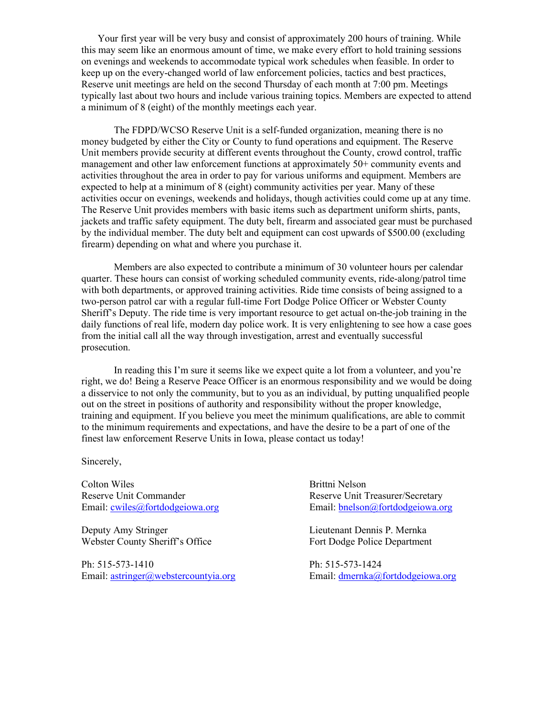Your first year will be very busy and consist of approximately 200 hours of training. While this may seem like an enormous amount of time, we make every effort to hold training sessions on evenings and weekends to accommodate typical work schedules when feasible. In order to keep up on the every-changed world of law enforcement policies, tactics and best practices, Reserve unit meetings are held on the second Thursday of each month at 7:00 pm. Meetings typically last about two hours and include various training topics. Members are expected to attend a minimum of 8 (eight) of the monthly meetings each year.

The FDPD/WCSO Reserve Unit is a self-funded organization, meaning there is no money budgeted by either the City or County to fund operations and equipment. The Reserve Unit members provide security at different events throughout the County, crowd control, traffic management and other law enforcement functions at approximately 50+ community events and activities throughout the area in order to pay for various uniforms and equipment. Members are expected to help at a minimum of 8 (eight) community activities per year. Many of these activities occur on evenings, weekends and holidays, though activities could come up at any time. The Reserve Unit provides members with basic items such as department uniform shirts, pants, jackets and traffic safety equipment. The duty belt, firearm and associated gear must be purchased by the individual member. The duty belt and equipment can cost upwards of \$500.00 (excluding firearm) depending on what and where you purchase it.

 Members are also expected to contribute a minimum of 30 volunteer hours per calendar quarter. These hours can consist of working scheduled community events, ride-along/patrol time with both departments, or approved training activities. Ride time consists of being assigned to a two-person patrol car with a regular full-time Fort Dodge Police Officer or Webster County Sheriff's Deputy. The ride time is very important resource to get actual on-the-job training in the daily functions of real life, modern day police work. It is very enlightening to see how a case goes from the initial call all the way through investigation, arrest and eventually successful prosecution.

In reading this I'm sure it seems like we expect quite a lot from a volunteer, and you're right, we do! Being a Reserve Peace Officer is an enormous responsibility and we would be doing a disservice to not only the community, but to you as an individual, by putting unqualified people out on the street in positions of authority and responsibility without the proper knowledge, training and equipment. If you believe you meet the minimum qualifications, are able to commit to the minimum requirements and expectations, and have the desire to be a part of one of the finest law enforcement Reserve Units in Iowa, please contact us today!

Sincerely,

Colton Wiles **Brittni** Nelson Reserve Unit Commander The Reserve Unit Treasurer/Secretary

Webster County Sheriff's Office Fort Dodge Police Department

Ph: 515-573-1410 Ph: 515-573-1424 Email: [astringer@webstercountyia.org](mailto:astringer@webstercountyia.org) Email: [dmernka@fortdodgeiowa.org](mailto:dmernka@fortdodgeiowa.org)

Email: [cwiles@fortdodgeiowa.org](mailto:cwiles@fortdodgeiowa.org) Email: [bnelson@fortdodgeiowa.org](mailto:bnelson@fortdodgeiowa.org)

Deputy Amy Stringer Lieutenant Dennis P. Mernka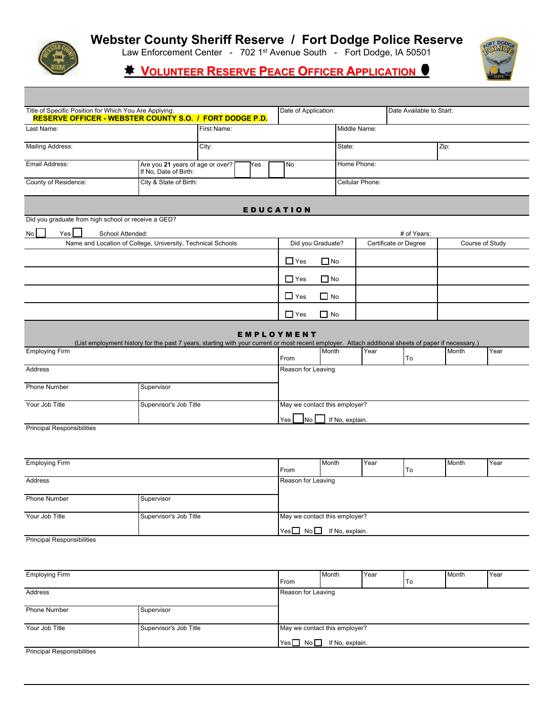

### **Webster County Sheriff Reserve / Fort Dodge Police Reserve**

Law Enforcement Center - 702 1<sup>st</sup> Avenue South - Fort Dodge, IA 50501<br>...

 **VOLUNTEER RESERVE PEACE OFFICER APPLICATION**



| Title of Specific Position for Which You Are Applying:<br><b>RESERVE OFFICER - WEBSTER COUNTY S.O. / FORT DODGE P.D.</b> |                                                                                                                                                     |                                         |                 | Date of Application:          |                                  |             |                       | Date Available to Start: |                 |      |  |
|--------------------------------------------------------------------------------------------------------------------------|-----------------------------------------------------------------------------------------------------------------------------------------------------|-----------------------------------------|-----------------|-------------------------------|----------------------------------|-------------|-----------------------|--------------------------|-----------------|------|--|
| First Name:<br>Last Name:                                                                                                |                                                                                                                                                     |                                         |                 | Middle Name:                  |                                  |             |                       |                          |                 |      |  |
| <b>Mailing Address:</b>                                                                                                  |                                                                                                                                                     | City:                                   |                 |                               |                                  | State:      |                       |                          |                 | Zip: |  |
| Email Address:                                                                                                           | If No, Date of Birth:                                                                                                                               | Are you 21 years of age or over?<br>Yes |                 |                               |                                  | Home Phone: |                       |                          |                 |      |  |
| County of Residence:<br>City & State of Birth:                                                                           |                                                                                                                                                     |                                         | Cellular Phone: |                               |                                  |             |                       |                          |                 |      |  |
|                                                                                                                          |                                                                                                                                                     |                                         |                 | <b>EDUCATION</b>              |                                  |             |                       |                          |                 |      |  |
| Did you graduate from high school or receive a GED?                                                                      |                                                                                                                                                     |                                         |                 |                               |                                  |             |                       |                          |                 |      |  |
| $Yes$ $\Box$<br>School Attended:<br>No                                                                                   |                                                                                                                                                     |                                         |                 |                               |                                  |             |                       | # of Years:              |                 |      |  |
|                                                                                                                          | Name and Location of College, University, Technical Schools                                                                                         |                                         |                 | Did you Graduate?             |                                  |             | Certificate or Degree |                          | Course of Study |      |  |
|                                                                                                                          |                                                                                                                                                     |                                         |                 | $\Box$ Yes                    | $\Box$ No                        |             |                       |                          |                 |      |  |
|                                                                                                                          |                                                                                                                                                     |                                         |                 | $\Box$ Yes                    | $\Box$ No                        |             |                       |                          |                 |      |  |
|                                                                                                                          |                                                                                                                                                     |                                         |                 | $\Box$ Yes                    | $\Box$ No                        |             |                       |                          |                 |      |  |
|                                                                                                                          |                                                                                                                                                     |                                         |                 | $\Box$ Yes                    | $\Box$ No                        |             |                       |                          |                 |      |  |
|                                                                                                                          | (List employment history for the past 7 years, starting with your current or most recent employer. Attach additional sheets of paper if necessary.) |                                         |                 | EMPLOYMENT                    |                                  |             |                       |                          |                 |      |  |
| <b>Employing Firm</b>                                                                                                    |                                                                                                                                                     |                                         |                 | From                          | Month                            |             | Year                  | To                       | Month           | Year |  |
| Address                                                                                                                  |                                                                                                                                                     |                                         |                 | Reason for Leaving            |                                  |             |                       |                          |                 |      |  |
| Phone Number                                                                                                             | Supervisor                                                                                                                                          |                                         |                 |                               |                                  |             |                       |                          |                 |      |  |
| Your Job Title                                                                                                           | Supervisor's Job Title                                                                                                                              |                                         |                 | May we contact this employer? |                                  |             |                       |                          |                 |      |  |
|                                                                                                                          |                                                                                                                                                     |                                         |                 | Yes I                         | $\Box$ No $\Box$ If No, explain. |             |                       |                          |                 |      |  |

Principal Responsibilities

| <b>Employing Firm</b> |                        |                    | Month                         | Year |    | Month | Year |
|-----------------------|------------------------|--------------------|-------------------------------|------|----|-------|------|
|                       |                        | From               |                               |      | To |       |      |
| Address               |                        | Reason for Leaving |                               |      |    |       |      |
|                       |                        |                    |                               |      |    |       |      |
| <b>Phone Number</b>   | Supervisor             |                    |                               |      |    |       |      |
|                       |                        |                    |                               |      |    |       |      |
| Your Job Title        | Supervisor's Job Title |                    | May we contact this employer? |      |    |       |      |
|                       |                        |                    | Yes No If No, explain.        |      |    |       |      |
| ----<br>              |                        |                    |                               |      |    |       |      |

Principal Responsibilities

| <b>Employing Firm</b>      |                        |                    | Month                              | Year |           | Month | Year |
|----------------------------|------------------------|--------------------|------------------------------------|------|-----------|-------|------|
|                            |                        | From               |                                    |      | <b>To</b> |       |      |
| Address                    |                        | Reason for Leaving |                                    |      |           |       |      |
|                            |                        |                    |                                    |      |           |       |      |
| <b>Phone Number</b>        | Supervisor             |                    |                                    |      |           |       |      |
|                            |                        |                    |                                    |      |           |       |      |
| Your Job Title             | Supervisor's Job Title |                    | May we contact this employer?      |      |           |       |      |
|                            |                        |                    | $Yes \Box No \Box$ If No, explain. |      |           |       |      |
| Drinainal Despanaibilities |                        |                    |                                    |      |           |       |      |

Principal Responsibilities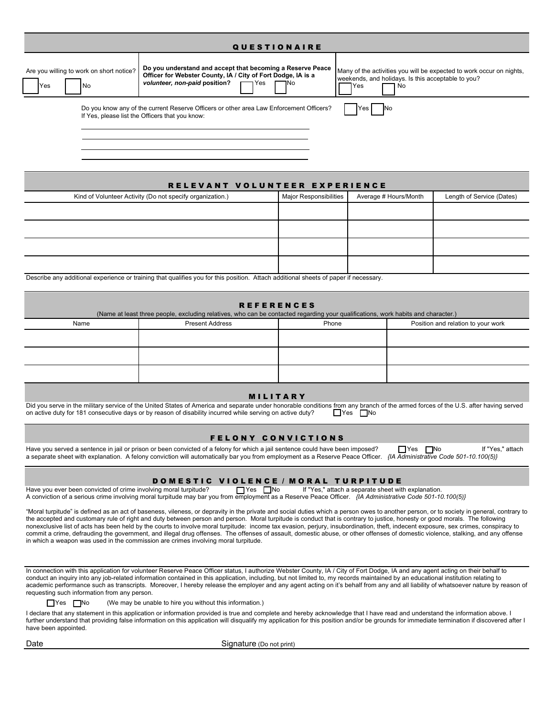| <b>QUESTIONAIRE</b> |                                                  |                                                                                                                                                                                    |                                                                                                                                            |  |  |
|---------------------|--------------------------------------------------|------------------------------------------------------------------------------------------------------------------------------------------------------------------------------------|--------------------------------------------------------------------------------------------------------------------------------------------|--|--|
| <b>IYes</b>         | Are you willing to work on short notice?<br>l No | Do you understand and accept that becoming a Reserve Peace<br>Officer for Webster County, IA / City of Fort Dodge, IA is a<br>volunteer, non-paid position?<br>$\Gamma$ Yes<br>٦No | Many of the activities you will be expected to work occur on nights,<br>weekends, and holidays. Is this acceptable to you?<br>1 No<br>lYes |  |  |
|                     |                                                  | Do you know any of the current Reserve Officers or other area Law Enforcement Officers?<br>If Yes, please list the Officers that you know:                                         | Yes<br>INo                                                                                                                                 |  |  |

| RELEVANT VOLUNTEER EXPERIENCE                             |                        |                       |                           |  |  |  |  |
|-----------------------------------------------------------|------------------------|-----------------------|---------------------------|--|--|--|--|
| Kind of Volunteer Activity (Do not specify organization.) | Major Responsibilities | Average # Hours/Month | Length of Service (Dates) |  |  |  |  |
|                                                           |                        |                       |                           |  |  |  |  |
|                                                           |                        |                       |                           |  |  |  |  |
|                                                           |                        |                       |                           |  |  |  |  |
|                                                           |                        |                       |                           |  |  |  |  |

Describe any additional experience or training that qualifies you for this position. Attach additional sheets of paper if necessary.

| <b>REFERENCES</b><br>(Name at least three people, excluding relatives, who can be contacted regarding your qualifications, work habits and character.) |                                                                       |  |  |  |  |  |
|--------------------------------------------------------------------------------------------------------------------------------------------------------|-----------------------------------------------------------------------|--|--|--|--|--|
| Name                                                                                                                                                   | Position and relation to your work<br><b>Present Address</b><br>Phone |  |  |  |  |  |
|                                                                                                                                                        |                                                                       |  |  |  |  |  |
|                                                                                                                                                        |                                                                       |  |  |  |  |  |
|                                                                                                                                                        |                                                                       |  |  |  |  |  |
|                                                                                                                                                        |                                                                       |  |  |  |  |  |

#### **MILITARY**

Did you serve in the military service of the United States of America and separate under honorable conditions from any branch of the armed forces of the U.S. after having served on active duty?<br>
The Same duty for 181 conse on active duty for 181 consecutive days or by reason of disability incurred while serving on active duty?

#### FELONY CONVICTIONS

Have you served a sentence in jail or prison or been convicted of a felony for which a jail sentence could have been imposed? No If "Yes | No If "Yes," attach a separate sheet with explanation. A felony conviction will automatically bar you from employment as a Reserve Peace Officer. *{IA Administrative Code 501-10.100(5)}*

#### DOMESTIC VIOLENCE / MORAL TURPITUDE

Have you ever been convicted of crime involving moral turpitude? ∏Yes INo If "Yes," attach a separate sheet with explanation. A conviction of a serious crime involving moral turpitude may bar you from employment as a Reserve Peace Officer. *{IA Administrative Code 501-10.100(5)}*

"Moral turpitude" is defined as an act of baseness, vileness, or depravity in the private and social duties which a person owes to another person, or to society in general, contrary to the accepted and customary rule of right and duty between person and person. Moral turpitude is conduct that is contrary to justice, honesty or good morals. The following nonexclusive list of acts has been held by the courts to involve moral turpitude: income tax evasion, perjury, insubordination, theft, indecent exposure, sex crimes, conspiracy to commit a crime, defrauding the government, and illegal drug offenses. The offenses of assault, domestic abuse, or other offenses of domestic violence, stalking, and any offense in which a weapon was used in the commission are crimes involving moral turpitude.

In connection with this application for volunteer Reserve Peace Officer status, I authorize Webster County, IA / City of Fort Dodge, IA and any agent acting on their behalf to conduct an inquiry into any job-related information contained in this application, including, but not limited to, my records maintained by an educational institution relating to academic performance such as transcripts. Moreover, I hereby release the employer and any agent acting on it's behalf from any and all liability of whatsoever nature by reason of requesting such information from any person.

 $\Box$  Yes  $\Box$  No (We may be unable to hire you without this information.)

I declare that any statement in this application or information provided is true and complete and hereby acknowledge that I have read and understand the information above. I further understand that providing false information on this application will disqualify my application for this position and/or be grounds for immediate termination if discovered after I have been appointed.

Date **Signature** (Do not print)